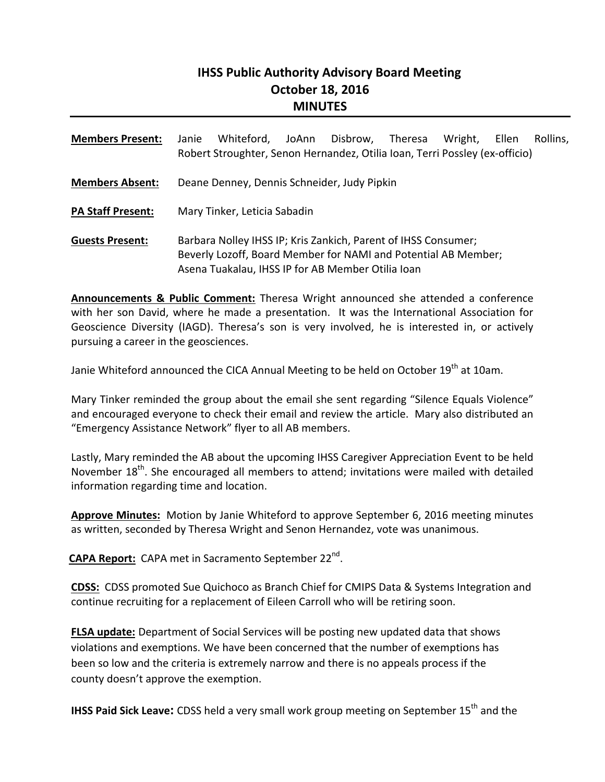# **IHSS Public Authority Advisory Board Meeting October 18, 2016 MINUTES**

| <b>Members Present:</b>  | Whiteford,<br>Disbrow,<br>Janie<br>JoAnn<br>Theresa<br>Wright,<br>Ellen<br>Rollins.<br>Robert Stroughter, Senon Hernandez, Otilia Ioan, Terri Possley (ex-officio)                    |
|--------------------------|---------------------------------------------------------------------------------------------------------------------------------------------------------------------------------------|
| <b>Members Absent:</b>   | Deane Denney, Dennis Schneider, Judy Pipkin                                                                                                                                           |
| <b>PA Staff Present:</b> | Mary Tinker, Leticia Sabadin                                                                                                                                                          |
| <b>Guests Present:</b>   | Barbara Nolley IHSS IP; Kris Zankich, Parent of IHSS Consumer;<br>Beverly Lozoff, Board Member for NAMI and Potential AB Member;<br>Asena Tuakalau, IHSS IP for AB Member Otilia Ioan |

**Announcements & Public Comment:** Theresa Wright announced she attended a conference with her son David, where he made a presentation. It was the International Association for Geoscience Diversity (IAGD). Theresa's son is very involved, he is interested in, or actively pursuing a career in the geosciences.

Janie Whiteford announced the CICA Annual Meeting to be held on October 19<sup>th</sup> at 10am.

Mary Tinker reminded the group about the email she sent regarding "Silence Equals Violence" and encouraged everyone to check their email and review the article. Mary also distributed an "Emergency Assistance Network" flyer to all AB members.

Lastly, Mary reminded the AB about the upcoming IHSS Caregiver Appreciation Event to be held November 18<sup>th</sup>. She encouraged all members to attend; invitations were mailed with detailed information regarding time and location.

**Approve Minutes:** Motion by Janie Whiteford to approve September 6, 2016 meeting minutes as written, seconded by Theresa Wright and Senon Hernandez, vote was unanimous.

**CAPA Report:** CAPA met in Sacramento September 22nd.

**CDSS:** CDSS promoted Sue Quichoco as Branch Chief for CMIPS Data & Systems Integration and continue recruiting for a replacement of Eileen Carroll who will be retiring soon.

**FLSA update:** Department of Social Services will be posting new updated data that shows violations and exemptions. We have been concerned that the number of exemptions has been so low and the criteria is extremely narrow and there is no appeals process if the county doesn't approve the exemption.

**IHSS Paid Sick Leave:** CDSS held a very small work group meeting on September 15<sup>th</sup> and the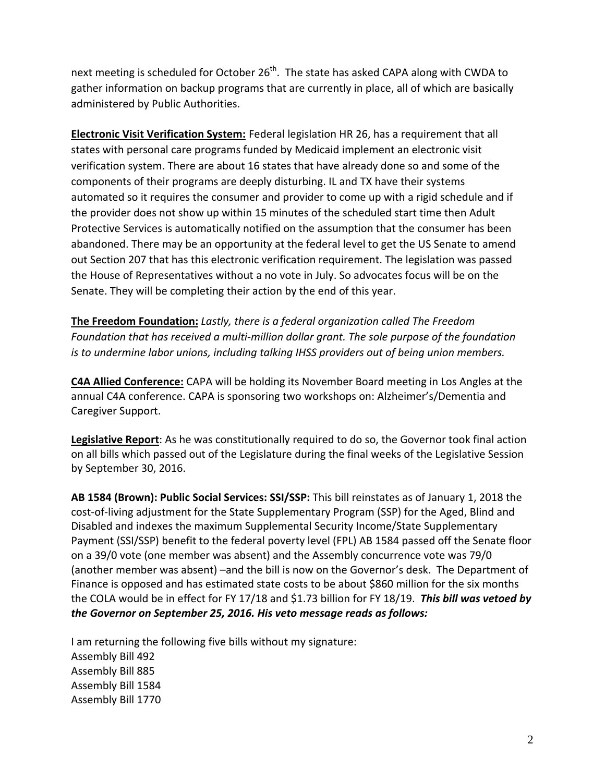next meeting is scheduled for October  $26<sup>th</sup>$ . The state has asked CAPA along with CWDA to gather information on backup programs that are currently in place, all of which are basically administered by Public Authorities.

**Electronic Visit Verification System:** Federal legislation HR 26, has a requirement that all states with personal care programs funded by Medicaid implement an electronic visit verification system. There are about 16 states that have already done so and some of the components of their programs are deeply disturbing. IL and TX have their systems automated so it requires the consumer and provider to come up with a rigid schedule and if the provider does not show up within 15 minutes of the scheduled start time then Adult Protective Services is automatically notified on the assumption that the consumer has been abandoned. There may be an opportunity at the federal level to get the US Senate to amend out Section 207 that has this electronic verification requirement. The legislation was passed the House of Representatives without a no vote in July. So advocates focus will be on the Senate. They will be completing their action by the end of this year.

**The Freedom Foundation:** *Lastly, there is a federal organization called The Freedom Foundation that has received a multi‐million dollar grant. The sole purpose of the foundation is to undermine labor unions, including talking IHSS providers out of being union members.* 

**C4A Allied Conference:** CAPA will be holding its November Board meeting in Los Angles at the annual C4A conference. CAPA is sponsoring two workshops on: Alzheimer's/Dementia and Caregiver Support.

**Legislative Report**: As he was constitutionally required to do so, the Governor took final action on all bills which passed out of the Legislature during the final weeks of the Legislative Session by September 30, 2016.

**AB 1584 (Brown): Public Social Services: SSI/SSP:** This bill reinstates as of January 1, 2018 the cost-of-living adjustment for the State Supplementary Program (SSP) for the Aged, Blind and Disabled and indexes the maximum Supplemental Security Income/State Supplementary Payment (SSI/SSP) benefit to the federal poverty level (FPL) AB 1584 passed off the Senate floor on a 39/0 vote (one member was absent) and the Assembly concurrence vote was 79/0 (another member was absent) –and the bill is now on the Governor's desk. The Department of Finance is opposed and has estimated state costs to be about \$860 million for the six months the COLA would be in effect for FY 17/18 and \$1.73 billion for FY 18/19. *This bill was vetoed by the Governor on September 25, 2016. His veto message reads as follows:*

I am returning the following five bills without my signature: Assembly Bill 492 Assembly Bill 885 Assembly Bill 1584 Assembly Bill 1770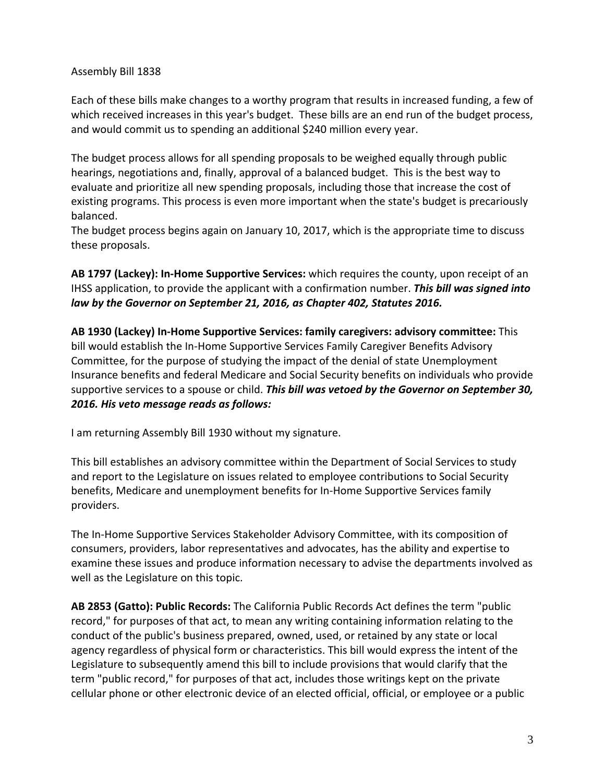#### Assembly Bill 1838

Each of these bills make changes to a worthy program that results in increased funding, a few of which received increases in this year's budget. These bills are an end run of the budget process, and would commit us to spending an additional \$240 million every year.

The budget process allows for all spending proposals to be weighed equally through public hearings, negotiations and, finally, approval of a balanced budget. This is the best way to evaluate and prioritize all new spending proposals, including those that increase the cost of existing programs. This process is even more important when the state's budget is precariously balanced.

The budget process begins again on January 10, 2017, which is the appropriate time to discuss these proposals.

**AB 1797 (Lackey): In‐Home Supportive Services:** which requires the county, upon receipt of an IHSS application, to provide the applicant with a confirmation number. *This bill was signed into law by the Governor on September 21, 2016, as Chapter 402, Statutes 2016.*

**AB 1930 (Lackey) In‐Home Supportive Services: family caregivers: advisory committee:** This bill would establish the In‐Home Supportive Services Family Caregiver Benefits Advisory Committee, for the purpose of studying the impact of the denial of state Unemployment Insurance benefits and federal Medicare and Social Security benefits on individuals who provide supportive services to a spouse or child. *This bill was vetoed by the Governor on September 30, 2016. His veto message reads as follows:*

I am returning Assembly Bill 1930 without my signature.

This bill establishes an advisory committee within the Department of Social Services to study and report to the Legislature on issues related to employee contributions to Social Security benefits, Medicare and unemployment benefits for In‐Home Supportive Services family providers.

The In‐Home Supportive Services Stakeholder Advisory Committee, with its composition of consumers, providers, labor representatives and advocates, has the ability and expertise to examine these issues and produce information necessary to advise the departments involved as well as the Legislature on this topic.

**AB 2853 (Gatto): Public Records:** The California Public Records Act defines the term "public record," for purposes of that act, to mean any writing containing information relating to the conduct of the public's business prepared, owned, used, or retained by any state or local agency regardless of physical form or characteristics. This bill would express the intent of the Legislature to subsequently amend this bill to include provisions that would clarify that the term "public record," for purposes of that act, includes those writings kept on the private cellular phone or other electronic device of an elected official, official, or employee or a public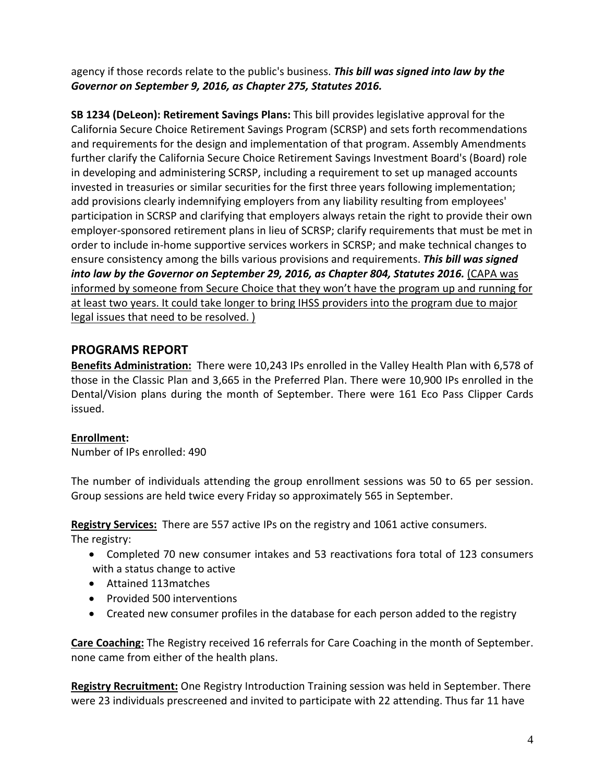agency if those records relate to the public's business. *This bill was signed into law by the Governor on September 9, 2016, as Chapter 275, Statutes 2016.*

**SB 1234 (DeLeon): Retirement Savings Plans:** This bill provides legislative approval for the California Secure Choice Retirement Savings Program (SCRSP) and sets forth recommendations and requirements for the design and implementation of that program. Assembly Amendments further clarify the California Secure Choice Retirement Savings Investment Board's (Board) role in developing and administering SCRSP, including a requirement to set up managed accounts invested in treasuries or similar securities for the first three years following implementation; add provisions clearly indemnifying employers from any liability resulting from employees' participation in SCRSP and clarifying that employers always retain the right to provide their own employer-sponsored retirement plans in lieu of SCRSP; clarify requirements that must be met in order to include in‐home supportive services workers in SCRSP; and make technical changes to ensure consistency among the bills various provisions and requirements. *This bill was signed into law by the Governor on September 29, 2016, as Chapter 804, Statutes 2016.* (CAPA was informed by someone from Secure Choice that they won't have the program up and running for at least two years. It could take longer to bring IHSS providers into the program due to major legal issues that need to be resolved. )

# **PROGRAMS REPORT**

**Benefits Administration:** There were 10,243 IPs enrolled in the Valley Health Plan with 6,578 of those in the Classic Plan and 3,665 in the Preferred Plan. There were 10,900 IPs enrolled in the Dental/Vision plans during the month of September. There were 161 Eco Pass Clipper Cards issued.

## **Enrollment:**

Number of IPs enrolled: 490

The number of individuals attending the group enrollment sessions was 50 to 65 per session. Group sessions are held twice every Friday so approximately 565 in September.

**Registry Services:** There are 557 active IPs on the registry and 1061 active consumers.

The registry:

- Completed 70 new consumer intakes and 53 reactivations fora total of 123 consumers with a status change to active
- Attained 113matches
- Provided 500 interventions
- Created new consumer profiles in the database for each person added to the registry

**Care Coaching:** The Registry received 16 referrals for Care Coaching in the month of September. none came from either of the health plans.

**Registry Recruitment:** One Registry Introduction Training session was held in September. There were 23 individuals prescreened and invited to participate with 22 attending. Thus far 11 have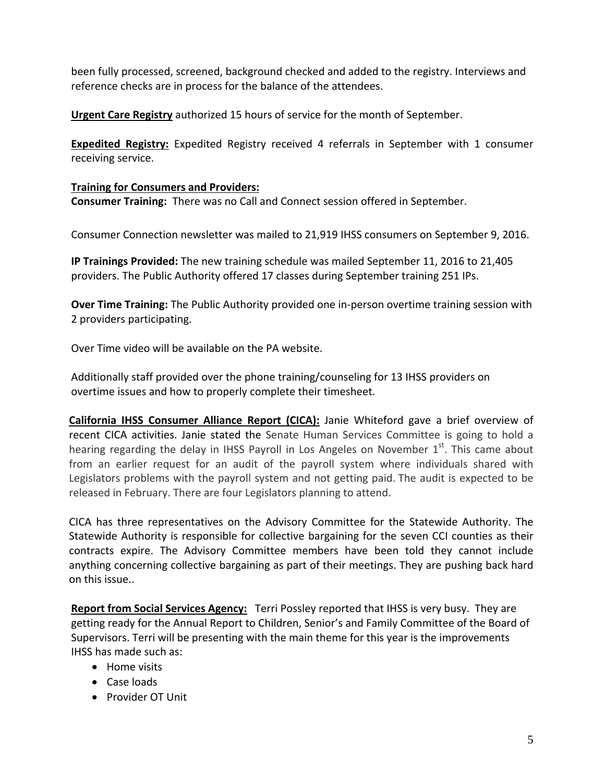been fully processed, screened, background checked and added to the registry. Interviews and reference checks are in process for the balance of the attendees.

**Urgent Care Registry** authorized 15 hours of service for the month of September.

**Expedited Registry:** Expedited Registry received 4 referrals in September with 1 consumer receiving service.

#### **Training for Consumers and Providers:**

**Consumer Training:** There was no Call and Connect session offered in September.

Consumer Connection newsletter was mailed to 21,919 IHSS consumers on September 9, 2016.

**IP Trainings Provided:** The new training schedule was mailed September 11, 2016 to 21,405 providers. The Public Authority offered 17 classes during September training 251 IPs.

**Over Time Training:** The Public Authority provided one in‐person overtime training session with 2 providers participating.

Over Time video will be available on the PA website.

Additionally staff provided over the phone training/counseling for 13 IHSS providers on overtime issues and how to properly complete their timesheet.

**California IHSS Consumer Alliance Report (CICA):** Janie Whiteford gave a brief overview of recent CICA activities. Janie stated the Senate Human Services Committee is going to hold a hearing regarding the delay in IHSS Payroll in Los Angeles on November  $1<sup>st</sup>$ . This came about from an earlier request for an audit of the payroll system where individuals shared with Legislators problems with the payroll system and not getting paid. The audit is expected to be released in February. There are four Legislators planning to attend.

CICA has three representatives on the Advisory Committee for the Statewide Authority. The Statewide Authority is responsible for collective bargaining for the seven CCI counties as their contracts expire. The Advisory Committee members have been told they cannot include anything concerning collective bargaining as part of their meetings. They are pushing back hard on this issue..

**Report from Social Services Agency:** Terri Possley reported that IHSS is very busy. They are getting ready for the Annual Report to Children, Senior's and Family Committee of the Board of Supervisors. Terri will be presenting with the main theme for this year is the improvements IHSS has made such as:

- Home visits
- Case loads
- Provider OT Unit